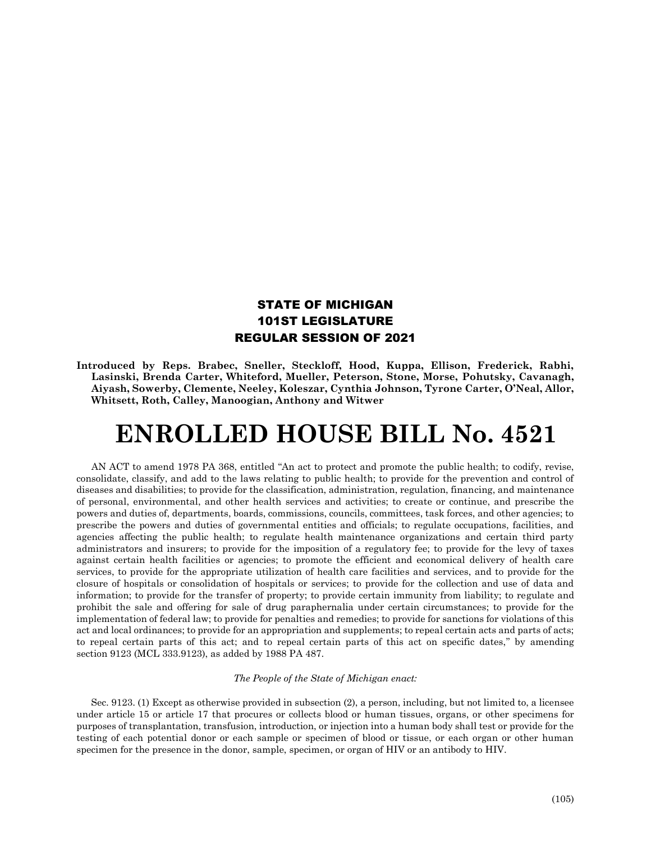## STATE OF MICHIGAN 101ST LEGISLATURE REGULAR SESSION OF 2021

**Introduced by Reps. Brabec, Sneller, Steckloff, Hood, Kuppa, Ellison, Frederick, Rabhi, Lasinski, Brenda Carter, Whiteford, Mueller, Peterson, Stone, Morse, Pohutsky, Cavanagh, Aiyash, Sowerby, Clemente, Neeley, Koleszar, Cynthia Johnson, Tyrone Carter, O'Neal, Allor, Whitsett, Roth, Calley, Manoogian, Anthony and Witwer**

## **ENROLLED HOUSE BILL No. 4521**

AN ACT to amend 1978 PA 368, entitled "An act to protect and promote the public health; to codify, revise, consolidate, classify, and add to the laws relating to public health; to provide for the prevention and control of diseases and disabilities; to provide for the classification, administration, regulation, financing, and maintenance of personal, environmental, and other health services and activities; to create or continue, and prescribe the powers and duties of, departments, boards, commissions, councils, committees, task forces, and other agencies; to prescribe the powers and duties of governmental entities and officials; to regulate occupations, facilities, and agencies affecting the public health; to regulate health maintenance organizations and certain third party administrators and insurers; to provide for the imposition of a regulatory fee; to provide for the levy of taxes against certain health facilities or agencies; to promote the efficient and economical delivery of health care services, to provide for the appropriate utilization of health care facilities and services, and to provide for the closure of hospitals or consolidation of hospitals or services; to provide for the collection and use of data and information; to provide for the transfer of property; to provide certain immunity from liability; to regulate and prohibit the sale and offering for sale of drug paraphernalia under certain circumstances; to provide for the implementation of federal law; to provide for penalties and remedies; to provide for sanctions for violations of this act and local ordinances; to provide for an appropriation and supplements; to repeal certain acts and parts of acts; to repeal certain parts of this act; and to repeal certain parts of this act on specific dates," by amending section 9123 (MCL 333.9123), as added by 1988 PA 487.

## *The People of the State of Michigan enact:*

Sec. 9123. (1) Except as otherwise provided in subsection (2), a person, including, but not limited to, a licensee under article 15 or article 17 that procures or collects blood or human tissues, organs, or other specimens for purposes of transplantation, transfusion, introduction, or injection into a human body shall test or provide for the testing of each potential donor or each sample or specimen of blood or tissue, or each organ or other human specimen for the presence in the donor, sample, specimen, or organ of HIV or an antibody to HIV.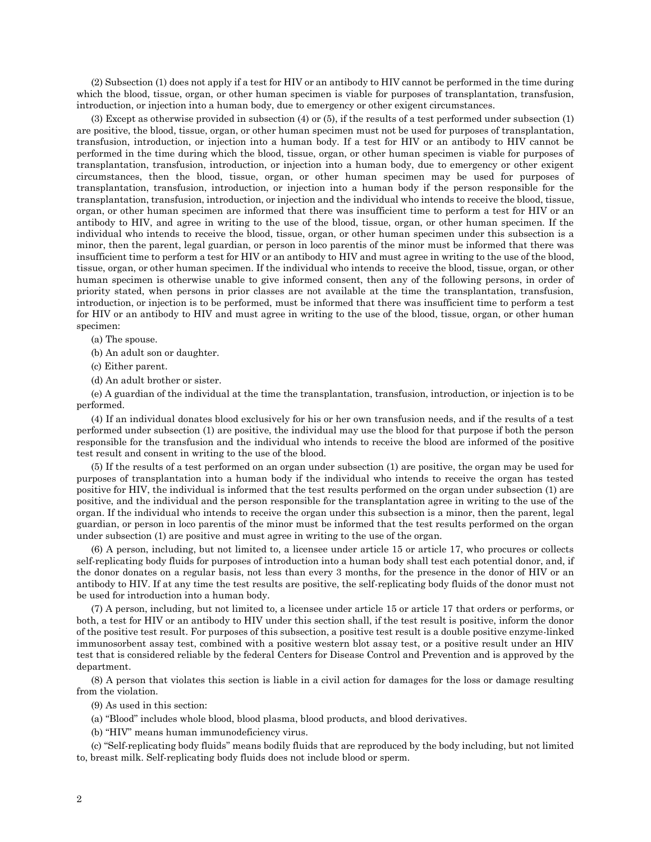(2) Subsection (1) does not apply if a test for HIV or an antibody to HIV cannot be performed in the time during which the blood, tissue, organ, or other human specimen is viable for purposes of transplantation, transfusion, introduction, or injection into a human body, due to emergency or other exigent circumstances.

(3) Except as otherwise provided in subsection (4) or (5), if the results of a test performed under subsection (1) are positive, the blood, tissue, organ, or other human specimen must not be used for purposes of transplantation, transfusion, introduction, or injection into a human body. If a test for HIV or an antibody to HIV cannot be performed in the time during which the blood, tissue, organ, or other human specimen is viable for purposes of transplantation, transfusion, introduction, or injection into a human body, due to emergency or other exigent circumstances, then the blood, tissue, organ, or other human specimen may be used for purposes of transplantation, transfusion, introduction, or injection into a human body if the person responsible for the transplantation, transfusion, introduction, or injection and the individual who intends to receive the blood, tissue, organ, or other human specimen are informed that there was insufficient time to perform a test for HIV or an antibody to HIV, and agree in writing to the use of the blood, tissue, organ, or other human specimen. If the individual who intends to receive the blood, tissue, organ, or other human specimen under this subsection is a minor, then the parent, legal guardian, or person in loco parentis of the minor must be informed that there was insufficient time to perform a test for HIV or an antibody to HIV and must agree in writing to the use of the blood, tissue, organ, or other human specimen. If the individual who intends to receive the blood, tissue, organ, or other human specimen is otherwise unable to give informed consent, then any of the following persons, in order of priority stated, when persons in prior classes are not available at the time the transplantation, transfusion, introduction, or injection is to be performed, must be informed that there was insufficient time to perform a test for HIV or an antibody to HIV and must agree in writing to the use of the blood, tissue, organ, or other human specimen:

(a) The spouse.

(b) An adult son or daughter.

(c) Either parent.

(d) An adult brother or sister.

(e) A guardian of the individual at the time the transplantation, transfusion, introduction, or injection is to be performed.

(4) If an individual donates blood exclusively for his or her own transfusion needs, and if the results of a test performed under subsection (1) are positive, the individual may use the blood for that purpose if both the person responsible for the transfusion and the individual who intends to receive the blood are informed of the positive test result and consent in writing to the use of the blood.

(5) If the results of a test performed on an organ under subsection (1) are positive, the organ may be used for purposes of transplantation into a human body if the individual who intends to receive the organ has tested positive for HIV, the individual is informed that the test results performed on the organ under subsection (1) are positive, and the individual and the person responsible for the transplantation agree in writing to the use of the organ. If the individual who intends to receive the organ under this subsection is a minor, then the parent, legal guardian, or person in loco parentis of the minor must be informed that the test results performed on the organ under subsection (1) are positive and must agree in writing to the use of the organ.

(6) A person, including, but not limited to, a licensee under article 15 or article 17, who procures or collects self-replicating body fluids for purposes of introduction into a human body shall test each potential donor, and, if the donor donates on a regular basis, not less than every 3 months, for the presence in the donor of HIV or an antibody to HIV. If at any time the test results are positive, the self-replicating body fluids of the donor must not be used for introduction into a human body.

(7) A person, including, but not limited to, a licensee under article 15 or article 17 that orders or performs, or both, a test for HIV or an antibody to HIV under this section shall, if the test result is positive, inform the donor of the positive test result. For purposes of this subsection, a positive test result is a double positive enzyme-linked immunosorbent assay test, combined with a positive western blot assay test, or a positive result under an HIV test that is considered reliable by the federal Centers for Disease Control and Prevention and is approved by the department.

(8) A person that violates this section is liable in a civil action for damages for the loss or damage resulting from the violation.

(9) As used in this section:

(a) "Blood" includes whole blood, blood plasma, blood products, and blood derivatives.

(b) "HIV" means human immunodeficiency virus.

(c) "Self-replicating body fluids" means bodily fluids that are reproduced by the body including, but not limited to, breast milk. Self-replicating body fluids does not include blood or sperm.